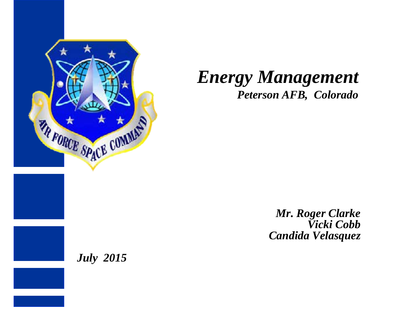

## *Energy Management Peterson AFB, Colorado*

*Mr. Roger Clarke Vicki Cobb Candida Velasquez*

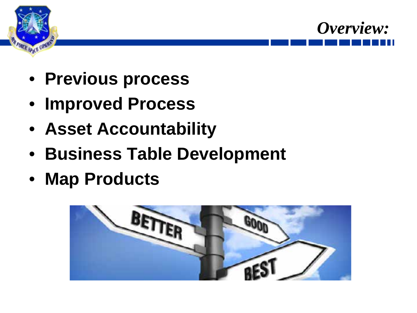



- **Previous process**
- **Improved Process**
- **Asset Accountability**
- **Business Table Development**
- **Map Products**

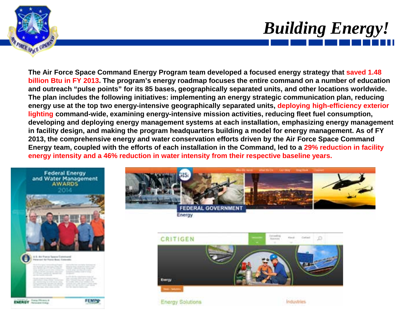

# *Building Energy!*

**The Air Force Space Command Energy Program team developed a focused energy strategy that saved 1.48 billion Btu in FY 2013. The program's energy roadmap focuses the entire command on a number of education and outreach "pulse points" for its 85 bases, geographically separated units, and other locations worldwide. The plan includes the following initiatives: implementing an energy strategic communication plan, reducing energy use at the top two energy-intensive geographically separated units, deploying high-efficiency exterior lighting command-wide, examining energy-intensive mission activities, reducing fleet fuel consumption, developing and deploying energy management systems at each installation, emphasizing energy management in facility design, and making the program headquarters building a model for energy management. As of FY 2013, the comprehensive energy and water conservation efforts driven by the Air Force Space Command Energy team, coupled with the efforts of each installation in the Command, led to a 29% reduction in facility energy intensity and a 46% reduction in water intensity from their respective baseline years.**

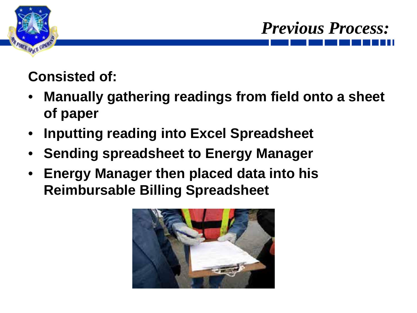



## **Consisted of:**

- **Manually gathering readings from field onto a sheet of paper**
- **Inputting reading into Excel Spreadsheet**
- **Sending spreadsheet to Energy Manager**
- **Energy Manager then placed data into his Reimbursable Billing Spreadsheet**

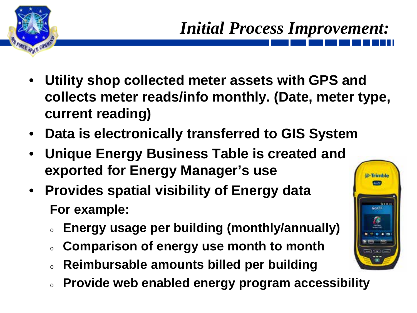

- **Utility shop collected meter assets with GPS and collects meter reads/info monthly. (Date, meter type, current reading)**
- **Data is electronically transferred to GIS System**
- **Unique Energy Business Table is created and exported for Energy Manager's use**
- **Provides spatial visibility of Energy data For example:**
	- Energy usage per building (monthly/annually)
	- **Comparison of energy use month to month**
	- <sup>o</sup> **Reimbursable amounts billed per building**
	- <sup>o</sup> **Provide web enabled energy program accessibility**

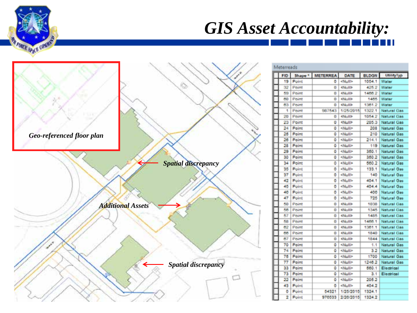

## *GIS Asset Accountability:*



| Meterreads |       |                  |                      |              |                     |  |  |  |  |
|------------|-------|------------------|----------------------|--------------|---------------------|--|--|--|--|
| FID.       |       | Shape * METERREA | DATE                 | <b>BLDGN</b> | <b>UtilityTyp</b>   |  |  |  |  |
| 19         | Point | ٥                | dialb                | 1054.1       | Water               |  |  |  |  |
| 32         | Point | ٥                | CAulD                | 425.2        | Water               |  |  |  |  |
| 59         | Point | o                | ChallD               | 1468.2       | Water               |  |  |  |  |
| 60         | Point | o                | ChallD               | 1485         | Water               |  |  |  |  |
| r<br>63    | Point | ٥                | CAulD                | 1381.2       | Water               |  |  |  |  |
| r<br>۹     | Point | 987543           | 1/25/2015            | 1322.1       | <b>Natural Gas</b>  |  |  |  |  |
| 20         | Point | o                | ChallD               | 1054.2       | <b>Natural Cias</b> |  |  |  |  |
| 23         | Point | o                | QuID                 | 205.3        | Natural Gas         |  |  |  |  |
| 24         | Point | ٥                | <null></null>        | 208          | <b>Natural Gas</b>  |  |  |  |  |
| 26         | Point | ٥                | <b><null></null></b> | 210          | Natural Gas         |  |  |  |  |
| 26         | Point | ٥                | <null></null>        | 214.1        | Natural Gas         |  |  |  |  |
| 28         | Point | ٥                | <null></null>        | 119          | Natural Gas         |  |  |  |  |
| 29         | Point | ٥                | <b><null></null></b> | 350.1        | <b>Natural Gas</b>  |  |  |  |  |
| 30         | Point | ٥                | <b><null></null></b> | 360.2        | Natural Gas         |  |  |  |  |
| 34         | Point | ٥                | ≤Null≥               | 560.2        | <b>Natural Gas</b>  |  |  |  |  |
| r<br>35    | Point | ٥                | <null></null>        | 133.1        | <b>Natural Gas</b>  |  |  |  |  |
| 37         | Point | ٥                | <b>CNull?</b>        | 140          | Natural Gas         |  |  |  |  |
| 42         | Point | ٥                | <b>Chall</b>         | 404.1        | <b>Natural Gas</b>  |  |  |  |  |
| Ħ<br>45    | Point | ٥                | <b>Chall</b>         | 404.4        | Natural Gas         |  |  |  |  |
| 48         | Point | ٥                | -Nolle               | 400          | Natural Gas         |  |  |  |  |
| 47         | Point | ٥                | <b>Chall</b>         | 725          | Natural Gas         |  |  |  |  |
| 50         | Point | o                | CAUID                | 1038         | <b>Natural Gas</b>  |  |  |  |  |
| r<br>58    | Point | ٥                | ChallD               | 1345         | <b>Natural Gas</b>  |  |  |  |  |
| 57         | Point | o                | ChallD               | 1485         | <b>Natural Gas</b>  |  |  |  |  |
| 58         | Point | o                | ChallD               | 1466.1       | Natural Gas         |  |  |  |  |
| 82         | Point | ٥                | ChallD               | 1361.1       | <b>Natural Gas</b>  |  |  |  |  |
| r<br>68    | Point | o                | ChallD               | 1840         | <b>Natural Clas</b> |  |  |  |  |
| 87         | Point | o                | ChallD               | 1844         | Natural Gas         |  |  |  |  |
| 70         | Point | ٥                | <null></null>        | 1.1          | <b>Natural Gas</b>  |  |  |  |  |
| 74         | Point | ٥                | <null></null>        | 3.2          | <b>Natural Gas</b>  |  |  |  |  |
| 76         | Point | ٥                | <b><null></null></b> | 1700         | Natural Gas         |  |  |  |  |
| 77         | Point | ٥                | <b><null></null></b> | 1246.2       | <b>Natural Gas</b>  |  |  |  |  |
| 33         | Point | ٥                | <null></null>        | 560.1        | Electrical          |  |  |  |  |
| 73         | Point | ٥                | <null></null>        | 3.1          | Electrical          |  |  |  |  |
| 22         | Point | ٥                | <b><null></null></b> | 206.2        |                     |  |  |  |  |
| 43         | Point | ٥                | <b>Chall</b>         | 404.2        |                     |  |  |  |  |
| ٥          | Point | 54321            | 1/25/2015            | 1324.1       |                     |  |  |  |  |
| 2          | Point | 976533           | 2/26/2015            | 1324.2       |                     |  |  |  |  |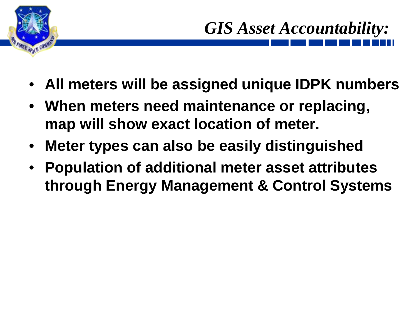

- **All meters will be assigned unique IDPK numbers**
- **When meters need maintenance or replacing, map will show exact location of meter.**
- **Meter types can also be easily distinguished**
- **Population of additional meter asset attributes through Energy Management & Control Systems**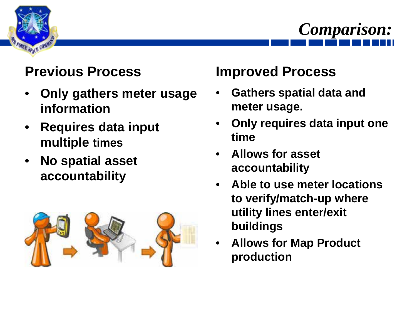

### **Previous Process**

- **Only gathers meter usage information**
- **Requires data input multiple times**
- **No spatial asset accountability**



### **Improved Process**

- **Gathers spatial data and meter usage.**
- **Only requires data input one time**

*Comparison:*

- **Allows for asset accountability**
- **Able to use meter locations to verify/match-up where utility lines enter/exit buildings**
- **Allows for Map Product production**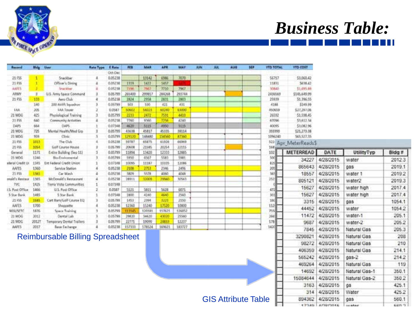



| <b>Rucerd</b>    | Mole        | <b>User</b>               | <b>Rate Type</b> | <b>E</b> Rate | FEB    | <b>MAT</b> | APE    | <b>MAY</b> | <b>HUN</b> | 麻 | AUS | <b>SEP</b> | <b>VED TOTAL</b> | <b>VTD COST</b>   |
|------------------|-------------|---------------------------|------------------|---------------|--------|------------|--------|------------|------------|---|-----|------------|------------------|-------------------|
|                  |             |                           |                  | Oct-Dec       |        |            |        |            |            |   |     |            |                  |                   |
| 21.755           |             | <b>Snackbar</b>           |                  | 0.05238       |        | 13143      | 6586   | 70.70      |            |   |     |            | 56717            | 53,060.42         |
| 21.855           |             | Officer's Diving          |                  | 0.05238       | 1319   | 1432       | 1457   |            |            |   |     |            | 11851            | \$638.42          |
| AAFES.           |             | <b>Syarither</b>          |                  | 0.05238       | 7396   | 7547       | T710   | 7967       |            |   |     |            | <b>MA40</b>      | \$1,095.88        |
| ARMY             |             | U.S. Arrivy Space Command |                  | 0.05799       | 265400 | 299817     | 284268 | 293744     |            |   |     |            | 2436569          | \$145,649.99      |
| 21 FSS           | 133         | Aero Club                 |                  | 0.05238       | 2824   | 2958       | 2831   | 2803       |            |   |     |            | 25939            | \$1,396.55        |
|                  | 140         | 200 AWH Squadrow          |                  | 0.05799       | 503    | 530        | 433    | 431        |            |   |     |            | 4188             | \$349.99          |
| 188.             | 305         | <b>SAA Touse</b>          |                  | 0.0587        | 50602  | 56023      | 60280  | 63000      |            |   |     |            | 450659           | \$27,297.06       |
| 21 MDG           | 425         | Physiological Training    |                  | 0.05799       | 2233   | 3472       | 7591   | 4410       |            |   |     |            | 26552            | 51,598.45         |
| 21 FW            | 640         | Community Artisties       |                  | 0.05238       | 7760   | 9360       | 7250   | 4240       |            |   |     |            | 67096            | \$1,612.34        |
| DAMS             | 664         | <b>OAPS</b>               |                  | 0.07348       | 4636   | 5115       | 4930   | M15        |            |   |     |            | 40095            | \$3,082.96        |
| 21 MOG           | 725         | Mental Health/Med Gra-    |                  | 0.05799       | 43638  | 45817      | 45335  | 38114      |            |   |     |            | 355990           | \$21,273.38       |
| 21 MDG           | 959         | Clink                     |                  | 0.05799       | 129530 | 145480     | 154560 | 87360      |            |   |     |            | 1096240          | 565.527.95        |
| 31.955           | 1813        | The Club                  |                  | 0.05238       | 50787  | 65875      | 65936  | 66565      |            |   |     |            |                  | 523 Apr MeterRead |
| 21 #55           | 1054        | Golf Course House         |                  | 0.05799       | 20608  | 21585      | 20254  | 22115      |            |   |     |            | 168              |                   |
| General          | 1171        | Extire Building (Sep 11)  |                  | 0.05799       | 11894  | 13420      | 12333  | 12885      |            |   |     |            | 102              | <b>METERREA</b>   |
| 21 MDG           | 1246        | Blo-Environmental         |                  | 6.05799       | 5955   | 6567       | 5583   | 5981       |            |   |     |            | 500              | 3422              |
| ideral Credit Ur | 1385        | Ent Federal Credit Union  |                  | 0.07348       | 10095  | 11187      | 10335  | 12066      |            |   |     |            | 829              |                   |
| <b>ANTS</b>      | <b>1360</b> | Service Station           |                  | 0.05238       | 2508   | 2753       | 3346   | 34%        |            |   |     |            | 205              | 86564             |
| 21.05%           | <b>1345</b> | Car Wash                  |                  | 0.05738       | 5809   | 5578       | 4050   | 4048       |            |   |     |            | 365              | 1855              |
| mald's Austaur   | 1345.       | McConald's Restaurant     |                  | 0.05238       | 38911  | 13009      | 29940  | 30543      |            |   |     |            | 2523             | 80512             |
| TVC              | 1425        | Tierra Vista Communities  |                  | 0.07348       |        |            |        |            |            |   |     |            |                  |                   |
| 15. Post Office  | 1466        | U.S. Pust Office          |                  | 0.0587        | 5121   | 5811       | 5628   | 6871       |            |   |     |            | 472              | 1562              |
| 5 Star Bará      | 1485        | 5 Star Bank               |                  | 0.07348       | 2800   | 4240       | 4645   | 3560       |            |   |     |            | 301              | 1562              |
| 21.955           | 1685        | Cart Barn/Galf Course EL) |                  | 0.05799       | 1453   | 2394       | 5221   | 2150       |            |   |     |            | 160              | 331               |
| <b>ANTS</b>      | 1700        | Shoppette                 |                  | 0.05238       | 12360  | 15240      | 17520  | 10800      |            |   |     |            | 1128             |                   |
| NSS/SETC         | 1876        | Space Training            |                  | 0.05799       | 113545 | 120181     | 117621 | 126052     |            |   |     |            | 255              | 4445              |
| 21 MOG           | 3012        | Dental Lab                |                  | 0.05799       | 19820  | 14630      | 43030  | 25560      |            |   |     |            | 366              | 1147              |
| 21 MDG           | 20127       | Temporary Dental Trailers |                  | 0.05799       | 22771  | 19090      | 24833  | 12237      |            |   |     |            | 178              | 968               |
| <b>ANFES</b>     | 2017        | <b>Basic Enchange</b>     |                  | 0.05238       | 157333 | 178524     | 169621 | 183727     |            |   |     |            | 1420世            | <b>TENDER</b>     |

#### Reimbursable Billing Spreadsheet

| นวร<br>82<br>m.<br>195<br>990<br>1240 | おおりょうかい パパ<br>51,598.45<br>\$1,612.14<br>\$3,082.96<br>\$21,273.38<br>565.527.95 |           |                |        |
|---------------------------------------|----------------------------------------------------------------------------------|-----------|----------------|--------|
|                                       | Apr MeterReads5                                                                  |           |                |        |
|                                       | <b>METERREAD</b>                                                                 | DATE      | UtilityTyp     | Bidg # |
|                                       | 34227                                                                            | 4/28/2015 | water          | 2012.3 |
|                                       | 865643                                                                           | 4/28/2015 | 005            | 2019.1 |
|                                       | 18557                                                                            | 4/28/2015 | water 1        | 2019.2 |
|                                       | 805121                                                                           | 4/28/2015 | water2         | 2019.3 |
|                                       | 15627                                                                            | 4/28/2015 | water high     | 2017.4 |
|                                       | 15627                                                                            | 4/28/2015 | water high     | 2017.4 |
|                                       | 3315                                                                             | 4/28/2015 | 005            | 1054.1 |
|                                       | 44452                                                                            | 4/28/2015 | water          | 1054.2 |
|                                       | 11472                                                                            | 4/28/2015 | water-1        | 205.1  |
|                                       | 9687                                                                             | 4/28/2015 | water-2        | 205.2  |
|                                       | 7845                                                                             | 4/28/2015 | Natural Gas    | 205.3  |
|                                       | 3290821                                                                          | 4/28/2015 | Natural Gas    | 208    |
|                                       | 98272                                                                            | 4/28/2015 | Natural Gas    | 210    |
|                                       | 406359                                                                           | 4/28/2015 | Natural Gas    | 214.1  |
|                                       | 565242                                                                           | 4/28/2015 | $005 - 2$      | 214.2  |
|                                       | 469264                                                                           | 4/28/2015 | Natural Gas    | 119    |
|                                       | 14692                                                                            | 4/28/2015 | Natural Gas-1  | 350.1  |
|                                       | 15084644                                                                         | 4/28/2015 | Natural Gas-2  | 350.2  |
|                                       | 3163                                                                             | 4/28/2015 | <b>GB</b>      | 425.1  |
|                                       | 314                                                                              | 4/28/2015 | Water          | 425.2  |
|                                       | 894362                                                                           | 4/28/2015 | 005            | 560.1  |
|                                       | 177.40                                                                           | 373973016 | <b>LEEMENT</b> | con 9  |

#### GIS Attribute Table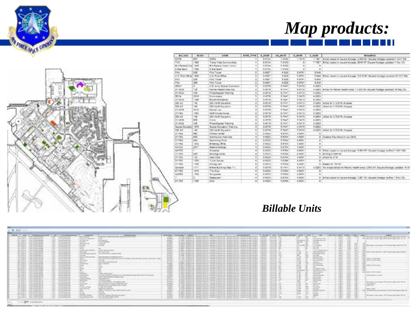

## *Map products:*

| <b>CALL</b> | MILKS                   |
|-------------|-------------------------|
|             | DIPE                    |
|             | <b>INE</b>              |
|             | <b>Brit Packered Co</b> |
|             | 4 Har Bart              |
|             | <b>TAA</b>              |
|             | $2.1 - 24.28$           |
|             | <b>PAR</b>              |
|             | <b>FAR</b>              |
|             | When                    |
|             | art skyle               |
|             | 4114,6                  |
|             | 29.04                   |
|             | 219839                  |
|             | 200.62                  |
|             | <b>TH 47</b>            |
|             | <b>High</b>             |
|             | 21166                   |
|             | 236.43                  |
|             | 21 MOR                  |
|             | 27 8056                 |
|             | <b>Buele Olivian</b>    |
|             | <b>THE AR</b>           |
|             | <b>Jimes</b><br>24 004  |
|             | 21855                   |
|             | 21 79 8                 |
|             | <b>AAGE</b>             |
|             | MAG                     |
|             | <b>FTVRS</b>            |
|             | $29 - 66$               |
|             | 21,553                  |
|             | 21988                   |
|             | <b>Garnette</b>         |
|             | 21700                   |
|             | 44,444                  |
|             | w                       |
|             | 2096                    |
|             |                         |
|             | m                       |
|             | <b>MILL</b>             |
|             |                         |
|             |                         |
|             |                         |
|             |                         |
|             |                         |
|             |                         |

| <b>RADIO 1</b> | <b>HEAR</b>                       | <b>BATE TIRE</b> | <b><i>B RAIN</i></b> | HO-RIZE               | on manp           | 1 4 a.m.                 | <b><i>BITALARIN'S</i></b>                                                                |
|----------------|-----------------------------------|------------------|----------------------|-----------------------|-------------------|--------------------------|------------------------------------------------------------------------------------------|
| <b>mpus</b>    | DARG                              | T.               | 8.9754               | 7.2749                | 1.7918            |                          | 7.7357 (Bitted based of source foregan) 2.309 SF (Bendry Nothers used as 1-5377 SS)      |
| 1425           | Trena Vista Concruzidore          | $\blacksquare$   | 0.8154               | P. 9189               |                   | <b>A leag F</b>          | E-Fed Level in store fictings. 2240 37 (Disney fockers colleted 1 Nor 12).               |
| <b>Not</b>     | this Partners' County company     | ٠                | 6.87%                | Pines                 |                   |                          |                                                                                          |
| $+ 14446$      | 4 Aug Kare                        | ٠                | a artis              | 1,894.6               |                   |                          |                                                                                          |
| 356            | Flot. Towns                       |                  | 5,5507               | 4.826                 | 8.8784            | 4.346                    |                                                                                          |
| <b>GMM</b>     | U.S. Post Office                  |                  | A SMAY               | 8.856                 | <b>TANY</b>       | <b>T. link</b>           | First land in scare Kouge, \$218.84. Nowe longe course \$2.007.96.                       |
| 228            | <b>KIVLTAW</b>                    | z                | 0.0987               | 8.829                 | <b>R</b> BORD     | 8,918                    |                                                                                          |
| 208            | <b>FAA Tower</b>                  | ı.               | 9,9567               | 8,839                 | 3.9761            | 8,548                    |                                                                                          |
| ٠              | U.S. Artis Scara Greenwic         |                  | 5.8479               | $n$ Fast <sup>2</sup> | <b>KAVID</b>      | 4 1065                   |                                                                                          |
| <b>Call</b>    | <b>Elema Hoekhitag Gra</b>        |                  | 0.0879               | <b>B. Fast</b>        | <b>M. Bur T M</b> | 4. Half G                | A Far for Mains most made. I LUES BF (aquals footage soldated 12 Feb EB.                 |
| 4.26           | Prospection Teaming               |                  | $4.41 - 4$           | 8,7447                | 84418             | 4.3265                   |                                                                                          |
| 35/18          | <b>Syrenses</b>                   |                  | it press.            | 3 Test?               | 1,5479            | 4.1385                   |                                                                                          |
| Used           | <b>Mini-British Information</b>   |                  | 0.5819               | 8.7md P               | 3-5476            | 4.5085                   |                                                                                          |
| $+46$          | 200 AVAILABLE PAY                 | x                | 9.9979               | <b>E.744</b> /        | 8.9473            | 4.3,85                   | Silved by J. (1979) (France                                                              |
| 140            | 100 April Touristics              | Ŧ                | \$ \$175             | <b>KTWAP</b>          | 1549              | $4 - 1000$               | <b>SEAT In 1 PERPE (Factor</b>                                                           |
| berid          | Factor Lab                        |                  | 69456                | A Fast                | 0.5476            | 4.5000                   |                                                                                          |
| $+100.4$       | Golf Course traum                 |                  | 9.9879               | 0.7647                | 6,6474            | 4,8369                   |                                                                                          |
| a              | 200 April Daughter                |                  | 8.3779               | $1.7 + 17$            | EDITE             | $+1265$                  | infinition 1.723176 of sense                                                             |
| <b>WIS</b>     | <b>Silver</b>                     |                  | 8,8774               | <b>C.Twit</b>         | 8,6219            | 4,3355                   |                                                                                          |
| 428            | Phonological Travivia             | ä                | 1.15.79              | B. Fear               | 8,6472            | 4.3283                   |                                                                                          |
| 1376           | Sueue Couletion Twining           | з                | o serre              | <b>STWAP</b>          | 3.5473            | 4.5285                   |                                                                                          |
| 140            | 393 Aird Roughon                  | ¥                | <b>SIETS</b>         | P. Fox?               | 4.5479            |                          | a title concerts in Friend, marked                                                       |
| <b>MALL</b>    | <b>FIFTER LATER</b>               | ٠                | a treat              | 4.874.0               | A-Aug 4           |                          |                                                                                          |
| i el           | Contractor Automatic              | ٠                | 5 8423               | 4,476.6               | 4.5041            |                          | Duterra Tax Mous In Jun 2012                                                             |
| 454            | Arriving Ford                     | ٠                | 6.952.8              | <b>E</b> ming a       | $4 - 6 + 4 + 1$   | ٠                        |                                                                                          |
| badz           | <b>Milled Ha Ciff etc.</b>        | ٠                | <b>RIMED</b>         | 3.874 6               | 4.8091            | $\overline{\phantom{a}}$ |                                                                                          |
| <b>SBYFF</b>   | <b>Jimmi Excitation</b>           | ٠                | 8.9523               | 14/94                 | 4 80 8 1          | ٠                        |                                                                                          |
| $+$            | <b>Distriction</b>                | ٠                | 89425                | 1,0784                | 4.6044            |                          | 8. Eductional in access forage, 4.994 St. Score forage or that 1.557 SS.                 |
| 4100           | <b>Mounting Lanes</b>             | ٠                | 0.0511               | <b>APOSA</b>          | 4.4091            |                          | 8 Anony 2 hart to                                                                        |
| 184            | Ages Disk                         | ٠                | 0.0523               | 53.95                 | $4.404 +$         |                          | <b>B</b> 194 Mid-101 ST W.                                                               |
| <b>CES</b>     | <b>Visit Darms</b>                | ٠                | 6.6103               | 1,579.6               | 4.8881            | ×                        |                                                                                          |
| 11956          | Draw Hall                         | ٠                | 8/8423               | 0.0744                | 4.5041            |                          | Assessment TRO RA                                                                        |
| TEPE           | <b>SPEAK Municipal News, 1111</b> | x                | 8.36.16              | <b>K.IHAT</b>         | <b>RAILE</b>      |                          | 4.5252 The lenger paraditective Maria: Health area 2.943.54 Stours Nickago celepter 18.9 |
| obrat          | The Distr                         | ٠                | 9,9523               | 6.0784                | 4.60EF            | ۰                        |                                                                                          |
| His            | <b>Brital</b> India               | ٠                | a ance               | 4.404.6               | $a.b = b$         |                          |                                                                                          |
|                | <b>Espitatori</b>                 | $\overline{a}$   | 9.9923               | 6.6746                | 4.8997            |                          | A Fact tested of assure for age 1,001 M . Severe fortuga redirect MAY 23.                |
| Mill           | œ                                 | ٠                | 55005                | 1,574.6               | 4.3041            |                          |                                                                                          |

#### *Billable Units*

| 1.服と風格で出る。                                                                                                                                                                                                                                                                                                                                                                                                                                                                                                                                                                                                                                                                                                                                                                                                                                                                                                                                                                                                                                                                                                                                                                                                                                                                                                                                                                                                                                                                                                                                                                                                                                                                                                                                                                                                                                                                                                                                                                                                                                                                                                                                                                                                                                                                                                                                                                                                                                                                                                                                                                                                                                                                                                                                                                                                                                                                                                                                                                                                                                                                                                                                                                                                                                                                                                                                                                                                                                                                                                                                                                                                                                                                                                                                                                                      |                                                                                                                                                                                                                                                                                                                                                                                                                                                                                                                                                                                                                                                                                                                                                                                                                                                                                                                                                                                                                                                                                                                                                                                                                                                                                                                                                                                                                                                                                                                                                                                                                                                                                                                                                                                                                                                                                                                                                                                                                                                                                                                                                                                                                                                                                                                                                                                                                                                                                                                                                                                                                                                                                                                                                                                                                                                                                                                                                                                                                                                                                                                                                                                                                                                                                                                                                                                                                                                                                                                                                                                                                                                                                                                                                                                                                                                                                                                                                                                                                                                                                                                                                                                                                                                                                                                                                                                                                                                                                                                                                                                                                                                                                                                                                                                                                                                                                                                                                                                                                                                                                                                                                                                                                                                                                                                                                                                                                                                                                                                                                                                                                                                                                                                                                                                                                                                                                                                                                                                                   |  |
|-------------------------------------------------------------------------------------------------------------------------------------------------------------------------------------------------------------------------------------------------------------------------------------------------------------------------------------------------------------------------------------------------------------------------------------------------------------------------------------------------------------------------------------------------------------------------------------------------------------------------------------------------------------------------------------------------------------------------------------------------------------------------------------------------------------------------------------------------------------------------------------------------------------------------------------------------------------------------------------------------------------------------------------------------------------------------------------------------------------------------------------------------------------------------------------------------------------------------------------------------------------------------------------------------------------------------------------------------------------------------------------------------------------------------------------------------------------------------------------------------------------------------------------------------------------------------------------------------------------------------------------------------------------------------------------------------------------------------------------------------------------------------------------------------------------------------------------------------------------------------------------------------------------------------------------------------------------------------------------------------------------------------------------------------------------------------------------------------------------------------------------------------------------------------------------------------------------------------------------------------------------------------------------------------------------------------------------------------------------------------------------------------------------------------------------------------------------------------------------------------------------------------------------------------------------------------------------------------------------------------------------------------------------------------------------------------------------------------------------------------------------------------------------------------------------------------------------------------------------------------------------------------------------------------------------------------------------------------------------------------------------------------------------------------------------------------------------------------------------------------------------------------------------------------------------------------------------------------------------------------------------------------------------------------------------------------------------------------------------------------------------------------------------------------------------------------------------------------------------------------------------------------------------------------------------------------------------------------------------------------------------------------------------------------------------------------------------------------------------------------------------------------------------------------|---------------------------------------------------------------------------------------------------------------------------------------------------------------------------------------------------------------------------------------------------------------------------------------------------------------------------------------------------------------------------------------------------------------------------------------------------------------------------------------------------------------------------------------------------------------------------------------------------------------------------------------------------------------------------------------------------------------------------------------------------------------------------------------------------------------------------------------------------------------------------------------------------------------------------------------------------------------------------------------------------------------------------------------------------------------------------------------------------------------------------------------------------------------------------------------------------------------------------------------------------------------------------------------------------------------------------------------------------------------------------------------------------------------------------------------------------------------------------------------------------------------------------------------------------------------------------------------------------------------------------------------------------------------------------------------------------------------------------------------------------------------------------------------------------------------------------------------------------------------------------------------------------------------------------------------------------------------------------------------------------------------------------------------------------------------------------------------------------------------------------------------------------------------------------------------------------------------------------------------------------------------------------------------------------------------------------------------------------------------------------------------------------------------------------------------------------------------------------------------------------------------------------------------------------------------------------------------------------------------------------------------------------------------------------------------------------------------------------------------------------------------------------------------------------------------------------------------------------------------------------------------------------------------------------------------------------------------------------------------------------------------------------------------------------------------------------------------------------------------------------------------------------------------------------------------------------------------------------------------------------------------------------------------------------------------------------------------------------------------------------------------------------------------------------------------------------------------------------------------------------------------------------------------------------------------------------------------------------------------------------------------------------------------------------------------------------------------------------------------------------------------------------------------------------------------------------------------------------------------------------------------------------------------------------------------------------------------------------------------------------------------------------------------------------------------------------------------------------------------------------------------------------------------------------------------------------------------------------------------------------------------------------------------------------------------------------------------------------------------------------------------------------------------------------------------------------------------------------------------------------------------------------------------------------------------------------------------------------------------------------------------------------------------------------------------------------------------------------------------------------------------------------------------------------------------------------------------------------------------------------------------------------------------------------------------------------------------------------------------------------------------------------------------------------------------------------------------------------------------------------------------------------------------------------------------------------------------------------------------------------------------------------------------------------------------------------------------------------------------------------------------------------------------------------------------------------------------------------------------------------------------------------------------------------------------------------------------------------------------------------------------------------------------------------------------------------------------------------------------------------------------------------------------------------------------------------------------------------------------------------------------------------------------------------------------------------------------------------------------------------|--|
|                                                                                                                                                                                                                                                                                                                                                                                                                                                                                                                                                                                                                                                                                                                                                                                                                                                                                                                                                                                                                                                                                                                                                                                                                                                                                                                                                                                                                                                                                                                                                                                                                                                                                                                                                                                                                                                                                                                                                                                                                                                                                                                                                                                                                                                                                                                                                                                                                                                                                                                                                                                                                                                                                                                                                                                                                                                                                                                                                                                                                                                                                                                                                                                                                                                                                                                                                                                                                                                                                                                                                                                                                                                                                                                                                                                                 |                                                                                                                                                                                                                                                                                                                                                                                                                                                                                                                                                                                                                                                                                                                                                                                                                                                                                                                                                                                                                                                                                                                                                                                                                                                                                                                                                                                                                                                                                                                                                                                                                                                                                                                                                                                                                                                                                                                                                                                                                                                                                                                                                                                                                                                                                                                                                                                                                                                                                                                                                                                                                                                                                                                                                                                                                                                                                                                                                                                                                                                                                                                                                                                                                                                                                                                                                                                                                                                                                                                                                                                                                                                                                                                                                                                                                                                                                                                                                                                                                                                                                                                                                                                                                                                                                                                                                                                                                                                                                                                                                                                                                                                                                                                                                                                                                                                                                                                                                                                                                                                                                                                                                                                                                                                                                                                                                                                                                                                                                                                                                                                                                                                                                                                                                                                                                                                                                                                                                                                                   |  |
| STATE - THE R. P. LEWIS CO., LANSING, MICH. 49-14039-1-120-2<br>- <b>ASTRONOMIA</b><br><b>HOMESTER</b><br>The Parties of the<br>\$1.400 Shares and<br>the party company that the first state that the<br><b>Service Print</b><br>The Christmas of the Content of<br><b>CALL COMPANY</b><br>We are no arrivable away.<br><b>B. Gallery Allen</b><br>The Control of Control<br><b>C. Transfer</b><br><b>CT WAS CITE</b><br>Anticon anciento side.<br>Call The Mini-Harry<br><b><i><u>STARTS</u></i></b><br><b>FREME BY</b><br>\$1,500 \$1,000 \$100<br>The Control of the Control<br><b>MILLIE MONEY ROLL</b><br>THE AVE<br><b>Minimum</b> Trees<br>Tot Toyota Gran<br>For Man.<br><b>BULLER DESCRIPTION</b><br>The A. Southern Harvey<br><b>COMPANY</b><br>ALCOHOL: ANGELES<br>Mark Thomas calling<br><b>COMMERCIAL</b><br>proving power, and<br><b>Charles</b><br>Carl County Inch.<br>and international and a<br>to strike attempts the process<br>All controls and the control of the<br>The Team drive<br><b>STATISTICS</b><br>Talento al Indiano<br>With the second to their<br>THE PERMIT STATE RIVER.<br>THE PERMIT<br>USL/Rushammarhand #<br><b>William Analysis and</b><br>THE R. P. LEWIS CO., LANSING MICH.<br><b>MARKET</b><br>Avenue protects, and<br>Mark Committee Country<br><b>A PAINTER STATES</b><br>Andrea Morganiste de Companho repor-<br>at any politic ads.<br>Said Transport below<br>of the conduct behind the control of the second control of the second control of the second<br>ALCOHOL: UNITED STA<br>TWO APARTMENTS<br>a mas<br>Booking attracts and<br><b>Birthda</b><br>TWO CARD IN CASE OF THE CARD OF<br><b>British Allenia Ada</b><br><b>SEVENIA</b><br>AND HEATS CORPORATION<br>The Controller of<br>\$1-1-pe percent, policy<br>The Traditional<br>decline studie, solo<br>THE R. P. LEWIS CO., LANSING MICH.<br>dealers shall as add.<br><b>CONTRACTOR</b><br><b>Link School Security</b><br>THE PURPOSE<br>State to all other with<br>what we are the fact<br><b>BULLION ANTIQUES AND</b><br>the party of the control of the<br>The Constitution of the com-<br>ALCOHOL: ALCOHOL: AND<br>New Yorker House<br>Total College & Manager and the children and the manager and collection<br>and the part of<br>Andrea attack, side<br><b>CONTRACTOR</b><br>There is a president of the cold<br>ar maak.<br>Andrea Alvero, Juan<br>paints against could consume their<br><b>CONTRACTOR</b><br>THE R. P. LEWIS CO., LANSING MICH.<br>All Audit All Ann L. Andy<br>All color and the<br>and the party of the con-<br>Call And<br>The Control of the Control<br>--<br>Without personal state<br>and the party<br>and the second company<br><b>SCHOOL</b><br>The party of the state state of<br>12 ET MIGHT PROGRAM SUPPLICATION FALLS<br>an or on an incide sinks<br>TAX, TAXABLE DELL<br>AND RECORD FOR ANY RELEASE FROM A REP.<br>Analis Analysis Alley<br>$1.14 - 1.4$<br>THE R. P. LEWIS CO., LANSING MICH.<br><b>BLACK BURGLER</b><br>EXCEPT BOTH A SUMMY LIST THING<br>. .<br>at mars?<br>THE TANK HEAT<br><b>RICHARD RO</b><br>and the first<br>The property of the contract of<br>The Program and<br><b>BUILD AT RIGHTS</b><br><b>NATIONAL PRO</b><br>PARTY NUMBER OF STATE AND A STATE OF<br>March of the Article Article (Milled), Milled A.M.<br><b>Paradox</b><br>Links, Steam Advise<br>proving points, and<br>The Company of the<br>.<br>writing primary and a<br>That Tenders retired<br>Michigan Atlanta, Miles<br>$-1$<br><b>COLLA</b><br>This Year all of<br><b>AT YOU WANT</b><br>ANY BY CANADI WE CAN WITH THE<br>Southern and many dealer<br>THE CALL PROPERTY FAILURES<br>THE TAX R.R. GARD SECRET<br>---<br>Andrea Alexander<br>THE COMMERCIAL<br>and at 1.00 course were applied<br>telephone and determined<br>Construction of the Au- | THE CONTRACTOR COMPANY<br>Joseph R. L. Jacobnume L. Joseph L.<br><b>ANTIQUES CONTINUES.</b><br>A 197 KIRG'S TEST RIVER GAMES FOR THE TREE OF STREET<br>THEY THE SHOWN COMPANY OF REAL PROPERTY AND RELEASED FOR ANY<br>The private com-<br><b>DESPESS</b><br>THE BUILDING COUNTY CONTRACTOR AND IN A<br>"AT WAY WARDLINE THROUGH PAY SUGGLOUP PLATEST WARDLINESS LOCALITY THREE THERE.<br>2,044<br>V WHO WRECAST TEXNICIES ETC (MANAGEMENTS) SEVERALISED SAMALICAN SUBSC.<br>of Topolo Inc., SUT.<br><b>CONTRACTOR</b><br>The Taxable Analysis<br><b>ANTISE SEE</b><br>Window Weekly has "revision dark by "countable devel into "series in the "substitute the fact to day."<br>THE MINUTE<br><b>The Contract of the Contract of the Contract of the Contract of the Contract of the Contract of The Contract of The Contract of The Contract of The Contract of The Contract of The Contract of The Contract of The Contract </b><br><b>CARD THE</b><br>WARN WITH AN "WEIGHT WAS COMMUNICATED FOR THE WARN PLUG. "ANNUAL OF DR. WHEN<br><b>Selection</b><br><b>TELESCOPE</b><br>- Charles<br>a later weeks on twinting at the summer of process to the control of the control of the local to<br>I has been letter<br>15.4 mil.<br>One can't concess 113 6 Stations can bell.<br>Arrested<br>a late was car in books, and it comes of Marine Comes plants, because of her trans-<br>Little and Language<br>and the property of the property<br>187.81<br>-<br>WIND WARRANT OF TAXABLE ALTER COMPANY OF MINUTES. WINDS ARTIST THE ARTIST DRIVING<br>The policy of<br>Technology<br>-<br>- Ger<br>The Art Allen and Care<br>-<br>The author's<br>⋍<br><b>START</b><br>THE CAST PETTER MEAL THAT COMMANDED FOR<br><b>Service</b><br>œ<br>There was not the first<br>GALLEY WARELEST TANKING FOR GALLANT PARTIES "IMPOUNDING" because that there is<br>THE R. P. LEWIS CO., LANSING<br>-<br>I<br><b>STATE</b><br><b>STATISTICS</b><br>SURE WRIGHT OF TREES A FAT GALLACTER WWW.PERFECTURERS INTERFERING<br>THE RESIDE THE<br>$-200$<br><b>STORY</b><br>LOW FRIGHT WORKSHIPS Company PERSON WORK FOR CASH COMP.<br><b>Cardinal Card</b><br>瀋<br><b>10 - Il - Michigan Street</b><br>A 1997 WHEEL OR TRENDS AND CONSULTED THE TRANSPORT TELESCOPE SERVICES.<br>Terente Lin<br>at the "www.com or "website at 212" compared below at "where all the Canada or but thought<br><b>Contractor</b><br>Total And<br>THE CAR EXTRACTOR<br>(The WARD) of Careers & Fly Construction Careers Alternative Construction Careers<br>THE REAL T<br>A PACK WARRING ON  WARRANT WAS CITED AND COMPANY AND ARRESTS AN ARRANGEMENT OVERALL<br>Latitude State<br>to Milly Magazine, Michigan and County of Mini-14. When the Wilson and the Program county of<br>The particular to the<br>×<br>邯<br><b>SANT</b><br>3. Children<br>100 TRAVELLED FAIL<br>TANAHA 175<br>A MOTOR MANAGER OF THE REAL PLAY ASSAULT MATERIAL PARTIES AND RELEASED FOR THESE<br>TRAFT.<br>A NOT WEELLY TWEEL A PSYCHOLOGY POSTAL WWOLF PER SHAKE END WANT<br>100 Fire<br>A MOT RUNAL OF PRODUCTIVE COMMUNITY/LEGAL PRODUCTS IN ANNUAL SERIES.<br><b>EXAMPLE</b><br><b>Services</b><br>In sales Women by Twelvers at Photo County of Women's Women's phones of the Women's<br>TWO SPIELE<br>China President Company<br>The Street of The<br>terroristics.<br>In region, securities was "recreation recording to excitational "represent television" and auto-of-registers.<br>at provide the<br>Total Antonio<br>at which presented the territorial prior Constant to Brackway, the background by the party of the background<br>THE PAID<br>U.<br><b>Scotter</b><br>A MEX WARNER OF THE PACK ALLEN COMMUNICATION . ACROSS ARTICLE CAMBRIDGE WITH C<br>Concession, Index<br>1 Minutes Co.<br>$\overline{a}$<br><b>Shields</b><br>in that Modern an "Modern M-For" resume contraction, where receive themselves thrown to<br><b>STARTING</b><br>æ<br>æ<br>And provided<br>Trucket, Michael and Christmas McATOR, Annually at Africa con. Michael Advised A. Advisory of the Trucky C.<br><b>CARL &amp; CARD</b><br><b>Science</b><br><b>CONTRACTOR</b><br><b>STATE</b><br>the that "Windows" (Windows of the "second of Windows of Christian Milled by Toward In Car Theath)<br><b>The American</b><br>- 25<br><b>COLLECTION</b><br>-<br><b>STATE</b><br>1. Briderick<br>A 1950 WHELE OF THE RELEASE CONTRACTOR COMMUNIST WITHOUT CELL CALCULATION CONTRACTOR<br>The Links Countries (III) IT to accept a control to the<br><b><i>STANDS</i></b><br>a sale weekling consultation could come to be the first control of the sale of the third<br>1204766<br>----<br>At the weeks of the control and the control of the second below a second of the weeks<br><b>TIME YOU</b><br>Writers, Middleberg, Tell Bally at a 14. January 10-95-21 and 10-4 (1970) at \$1.00 per paid of the Democratic<br><b>CONTRACTOR</b><br>The primary<br>AN ONE WERE LATE OR DELIVERED AT A company of PAST FOR TWO CASE PRODUCTS COURSE OF THE TOWER.<br><b>TRACK</b><br>CRANING 7<br><b>Brooked</b><br>a lost weeks on twinting with passes ordered on twinting pacific construction books.<br>THE SHOPLE<br>THE ANNUAL RESEARCHER COMPANY COMPANY<br>writer water of "School at the county of Martins" Where the R. I as any of any works.<br>To discuss the party<br><b>Stringer Street</b><br>H.R<br><b>SECURITY</b><br>-<br>WINDOW WARRANTED TREASURERS for considerate and detections. Writtens charities the second many modernic<br>1. Alexander Corp.<br>图:<br><b>STATE</b><br>BUFF THE AT THE R. P. LEWIS CO., LANSING MICH. 49-14039-1-120-2<br>TELEVISION COMPANY<br><b>CARD COMPANY</b><br>to a commencer since the<br>$=$<br>-85<br>the party of the control of<br><b>STATE OF THE OWNER.</b><br><b>COMMERCIAL</b><br>A test been as "week and to consider the wind state of the construction of<br><b>TELEVISION</b><br>---<br>Available beacons thereon such that the content work and all country believes. This pay 1 Top<br><b>Construction</b> |  |
| I C to High August Millergy                                                                                                                                                                                                                                                                                                                                                                                                                                                                                                                                                                                                                                                                                                                                                                                                                                                                                                                                                                                                                                                                                                                                                                                                                                                                                                                                                                                                                                                                                                                                                                                                                                                                                                                                                                                                                                                                                                                                                                                                                                                                                                                                                                                                                                                                                                                                                                                                                                                                                                                                                                                                                                                                                                                                                                                                                                                                                                                                                                                                                                                                                                                                                                                                                                                                                                                                                                                                                                                                                                                                                                                                                                                                                                                                                                     |                                                                                                                                                                                                                                                                                                                                                                                                                                                                                                                                                                                                                                                                                                                                                                                                                                                                                                                                                                                                                                                                                                                                                                                                                                                                                                                                                                                                                                                                                                                                                                                                                                                                                                                                                                                                                                                                                                                                                                                                                                                                                                                                                                                                                                                                                                                                                                                                                                                                                                                                                                                                                                                                                                                                                                                                                                                                                                                                                                                                                                                                                                                                                                                                                                                                                                                                                                                                                                                                                                                                                                                                                                                                                                                                                                                                                                                                                                                                                                                                                                                                                                                                                                                                                                                                                                                                                                                                                                                                                                                                                                                                                                                                                                                                                                                                                                                                                                                                                                                                                                                                                                                                                                                                                                                                                                                                                                                                                                                                                                                                                                                                                                                                                                                                                                                                                                                                                                                                                                                                   |  |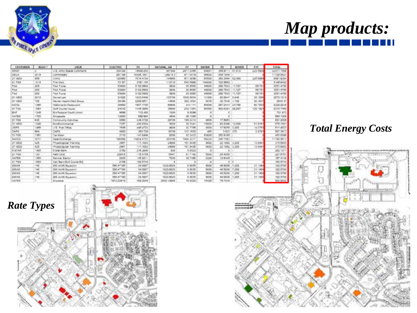

| <b>Map products:</b> |  |  |  |  |
|----------------------|--|--|--|--|
|                      |  |  |  |  |

| <b>CU STOMBIN</b> | MLDO <sup>+</sup> | USOR                            | <b>ELSCHIC</b>         | 58                  | <b>NATURAL GA</b> | 51                     | <b>WATER</b>   | 13 <sup>2</sup>       | <b>BEWER</b> | 871               | TOTAL          |
|-------------------|-------------------|---------------------------------|------------------------|---------------------|-------------------|------------------------|----------------|-----------------------|--------------|-------------------|----------------|
| <b>ARMY</b>       |                   | U.S. Army Board Command         | <b>JIBB 1002</b>       | TENDS 27LE          | 807318            | 2471.5588              | <b>BMB1</b>    | 200 BTTT / ST.STE     |              | 224 PAUL          | ENTI YN        |
| <b>CRESA</b>      | 2019              | Committee                       | 281103                 | 10000-1021          | 129219.3          | 811,3473               | SPRICE)        | 549 1945              |              |                   | 1125 561       |
| 21 9830           | <b>bow</b>        | Cario                           | 120980.                | 7014.4734           | 144800            | W72.30109              | BMCO           | 353.3494 52.400       |              | <b>226 (1981)</b> | 8581828        |
| 21733             | 1013              | The Digit                       | 7216F                  | 5781.155            | 113710            | 045.0908               | 148000         | 122,9962              |              |                   | 1145.542       |
| <b>With</b>       | 208               | <b>FAA Tites</b>                | 73866                  | 3/42.8834           | 38:10             | de seon                | 49000          | 282 7343 111 TZT      |              | 09.751            | 1001.470       |
| <b>PAR</b>        | $\frac{1}{2}$     | <b>FAA TOWN</b>                 | 53864                  | 5122 9936           | 28/39             | 11 8000                | 45900          | 202 7943              | ITE TIP      | 69.751            | 1051476        |
| <b>PAA</b>        | 000               | <b>FAA Tuuse</b>                | 53504                  | 1102,5504           | 38/16             | 11.1000                | $+5450$        | DS2 7545              | 14,727       | 05.751            | 1001 470       |
| 21 MDG            | bbnB              | Derhalt Leiz                    | 31620                  | 1803-5438           | 15/2708           | 1308-0634              | 11308          | 02/0547               | 1.645        | 56.1006           | 2972.131       |
| 21 MDC            | 726               | Marial Kearly Milk Crous        | 35485                  | 2008/08/11          | 4,40.36           | 362.1834               | 32/10          | 32,7048               | A.728        | <b>DG-HBH7</b>    | 2848.9         |
| <b>MCD</b>        | 1,386             | McDonard's Pastaurait           | 30483                  | 1807.1755           | 00039             | 044,111                | 80000          | 207,2644              | 24,700       | 90.7834           | 2020-224       |
| 24 000            | $1000 +$          | Golf Course House               | 24040                  | <b>FUIR 1088</b>    | 140456            | 242.1084               | 84406          | R02-803+              | 24,037       | 106.1004          | 2018/248       |
| Guff.             | 1348              | <b>Ent Federal Credit Cream</b> | seas                   | T12 480             | 1308              | 8.9098                 | ۰              | ÷                     |              |                   | 721.97         |
| <b>AATEE</b>      | 1703              | Dreamwike                       | 1,5600                 | <b>ARD OLL</b>      | 4818              | 38.1208                | ¥              |                       |              |                   | 688 106        |
| 21298             | 640               | Carian will Askelbay            | 1885                   | 448.2728            | 29100.            | 188,2414               | seco.          | 17,8085               |              |                   | 631,208        |
| 211400            | 72.48             | <b>Bollowmana</b>               | 7543                   | 435,8554            | 5555              | 30.7549                | 4 Kildrids     | 81,2048               | $-2.000$     | 616007            | 478.691        |
| <b>USERS</b>      | 1485              | U.S. Pug 28mg                   | <b>TOOM</b>            | <b>AAR 4733</b>     | 48:35             | <b>ST FTER</b>         | NAMI           | 179048 2,400          |              | 14.2793           | <b>F11 451</b> |
| DARK              | AK4               | <b>DARK</b>                     | <b>ASPO</b>            | 369.706             | 18796             | <b><i>HET 1470</i></b> | $1 - 1$        | 3.629 1572            |              | ご注明               | 657.30 F       |
| 71 PSS            | 1381              | That islands                    | 27.46                  | <b>Jun Selle</b>    | 9211              | 82.5443                | <b>BARDO</b>   | 1418140               |              |                   | 447,009        |
| ALLIE'S           | 3641              | tiam Estfange                   | <b>FINDINGS</b>        | 12004-6757          | 16.7116           | 1494.8277              | Wild 201       | <b>THE TERRIT LAT</b> |              |                   | 11701501       |
| 21 UCL3           | scit-             | Physiological Travvino          | 2981                   | 171,7083            | 24900             | 167,9436               | <b>WEED</b>    | 22,1892 5,208         |              | 12,6441           | 179.84%        |
| 21 MOD            | 428               | Phacico cal Training            | znet                   | 111,7083            | 14999             | 15.5425                | ABDO.          | 22, 1992 3.200        |              | 13 8441           | 175,665        |
| 6.XTAA            | $-405$            | 5-30al Maile                    | <b>JL1853</b>          | <b>ZTELINE</b>      | 318               | 6.1523                 | $\overline{a}$ | $\sim$                | Dec.         |                   | aka tist       |
| 21938             | $-22$             | AMS CRUD                        | 2224.5                 | 115.4158            | 10441             | \$1,7142               | 5900           | 24-4250               |              |                   | 227.010        |
| <b>AAFES</b>      | 1300              | Technike Trialist               | 2803                   | 140,0211            | 7016              | 18.7400                | 1220           | 13,8448               |              |                   | 107.414        |
| 21735             | 1085              | Set BarinSof Coune BG           | 2355                   | 103.5745            |                   | a                      | <b>D</b>       |                       | 0.10<br>12.1 |                   | this mine      |
| 20048             | TWO:              | 200 AVER Blockshot              | <b>DRC 47395</b>       | 14.58%*             | 1023-8525         | 8.5077                 | 9000           | 49-5058 7.000         |              | 11 -454           | us era         |
| 206,45            | 140               | 290 AIRR Discentor              | 050 a <sup>11</sup> ab | 54,589 <sup>4</sup> | 1023-9523         | 8.9000                 | bebb           | 49-9044               | 7,000        | 31.1404           | 121.678        |
| 206,65            | 140               | 200 AUBR Galleston              | DAIL 471931            | 14.053*             | 1023-9121         | 4.14.00                | 0000           | 49-5016               | 7.200        | 3.9. liable       | 122 676        |
| 23040             | $-65$             | 200 AirFF Doubles               | 000.47705              | 34.580 <sup>m</sup> | 1023-0023         | 8,9686                 | 1000           | 45:50:56              | 1.556        | 11.1404           | 122,676        |
| <b>AATEE</b>      |                   | Drawing                         | 2010/22/07/22          | 108,2018            | 1000 + 2000       | 18-9223                | 18120          | 79.7240               |              |                   | 103 883        |



### *Total Energy Costs*